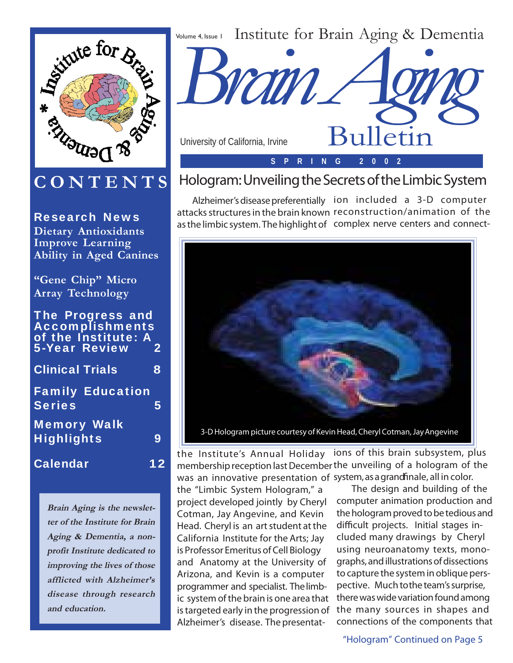

## **CONTENTS**

Research News **Dietary Antioxidants Improve Learning Ability in Aged Canines**

**"Gene Chip" Micro Array Technology**

The Progress and Accomplishments of the Institute: A 5-Year Review 2 Clinical Trials 8 Family Education Series 5

Memory Walk Highlights 9

Calendar 12

**Brain Aging is the newsletter of the Institute for Brain Aging & Dementia, a nonprofit Institute dedicated to improving the lives of those afflicted with Alzheimer's disease through research and education.**



## Hologram: Unveiling the Secrets of the Limbic System

Alzheimer's disease preferentially ion included a 3-D computer attacks structures in the brain known reconstruction/animation of the as the limbic system. The highlight of complex nerve centers and connect-



the Institute's Annual Holiday ions of this brain subsystem, plus membership reception last December the unveiling of a hologram of the was an innovative presentation of system, as a grand finale, all in color.

the "Limbic System Hologram," a project developed jointly by Cheryl Cotman, Jay Angevine, and Kevin Head. Cheryl is an art student at the California Institute for the Arts; Jay is Professor Emeritus of Cell Biology and Anatomy at the University of Arizona, and Kevin is a computer programmer and specialist. The limbic system of the brain is one area that is targeted early in the progression of Alzheimer's disease. The presentat-

The design and building of the computer animation production and the hologram proved to be tedious and difficult projects. Initial stages included many drawings by Cheryl using neuroanatomy texts, monographs, and illustrations of dissections to capture the system in oblique perspective. Much to the team's surprise, there was wide variation found among the many sources in shapes and connections of the components that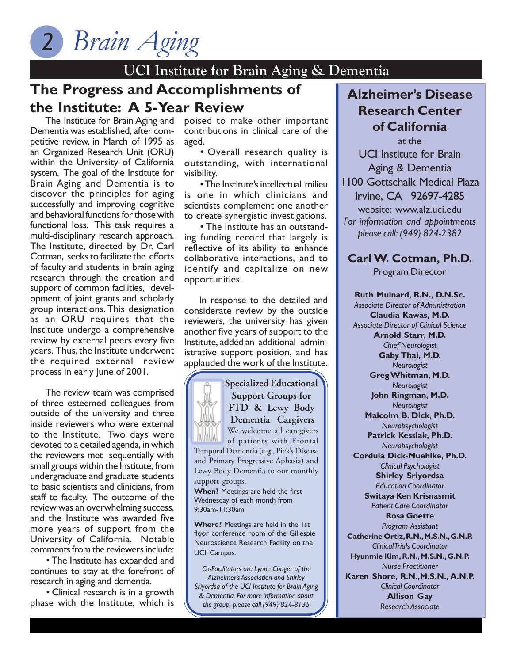## **UCI Institute for Brain Aging & Dementia**

## **The Progress and Accomplishments of the Institute: A 5-Year Review**

The Institute for Brain Aging and Dementia was established, after competitive review, in March of 1995 as an Organized Research Unit (ORU) within the University of California system. The goal of the Institute for Brain Aging and Dementia is to discover the principles for aging successfully and improving cognitive and behavioral functions for those with functional loss. This task requires a multi-disciplinary research approach. The Institute, directed by Dr. Carl Cotman, seeks to facilitate the efforts of faculty and students in brain aging research through the creation and support of common facilities, development of joint grants and scholarly group interactions. This designation as an ORU requires that the Institute undergo a comprehensive review by external peers every five years. Thus, the Institute underwent the required external review process in early June of 2001.

The review team was comprised of three esteemed colleagues from outside of the university and three inside reviewers who were external to the Institute. Two days were devoted to a detailed agenda, in which the reviewers met sequentially with small groups within the Institute, from undergraduate and graduate students to basic scientists and clinicians, from staff to faculty. The outcome of the review was an overwhelming success, and the Institute was awarded five more years of support from the University of California. Notable comments from the reviewers include:

• The Institute has expanded and continues to stay at the forefront of research in aging and dementia.

• Clinical research is in a growth phase with the Institute, which is

poised to make other important contributions in clinical care of the aged.

• Overall research quality is outstanding, with international visibility.

• The Institute's intellectual milieu is one in which clinicians and scientists complement one another to create synergistic investigations.

• The Institute has an outstanding funding record that largely is reflective of its ability to enhance collaborative interactions, and to identify and capitalize on new opportunities.

In response to the detailed and considerate review by the outside reviewers, the university has given another five years of support to the Institute, added an additional administrative support position, and has applauded the work of the Institute.

**Specialized Educational**



**When?** Meetings are held the first Wednesday of each month from 9:30am-11:30am

**Where?** Meetings are held in the 1st floor conference room of the Gillespie Neuroscience Research Facility on the UCI Campus.

*Co-Facilitators are Lynne Conger of the Alzheimer's Association and Shirley Sriyordsa of the UCI Institute for Brain Aging & Dementia. For more information about the group, please call (949) 824-8135*

### **Alzheimer's Disease Research Center of California**

at the UCI Institute for Brain Aging & Dementia 1100 Gottschalk Medical Plaza Irvine, CA 92697-4285 website: www.alz.uci.edu *For information and appointments please call: (949) 824-2382*

### **Carl W. Cotman, Ph.D.**

Program Director

**Ruth Mulnard, R.N., D.N.Sc.** *Associate Director of Administration* **Claudia Kawas, M.D.** *Associate Director of Clinical Science* **Arnold Starr, M.D.** *Chief Neurologist* **Gaby Thai, M.D.** *Neurologist* **Greg Whitman, M.D.** *Neurologist* **John Ringman, M.D.** *Neurologist* **Malcolm B. Dick, Ph.D.** *Neuropsychologist* **Patrick Kesslak, Ph.D.** *Neuropsychologist* **Cordula Dick-Muehlke, Ph.D.** *Clinical Psychologist* **Shirley Sriyordsa** *Education Coordinator* **Switaya Ken Krisnasmit** *Patient Care Coordinator* **Rosa Goette** *Program Assistant* **Catherine Ortiz, R.N., M.S.N., G.N.P.** *Clinical Trials Coordinator* **Hyunmie Kim, R.N., M.S.N., G.N.P.** *Nurse Practitioner* **Karen Shore, R.N.,M.S.N., A.N.P.** *Clinical Coordinator* **Allison Gay**

*Research Associate*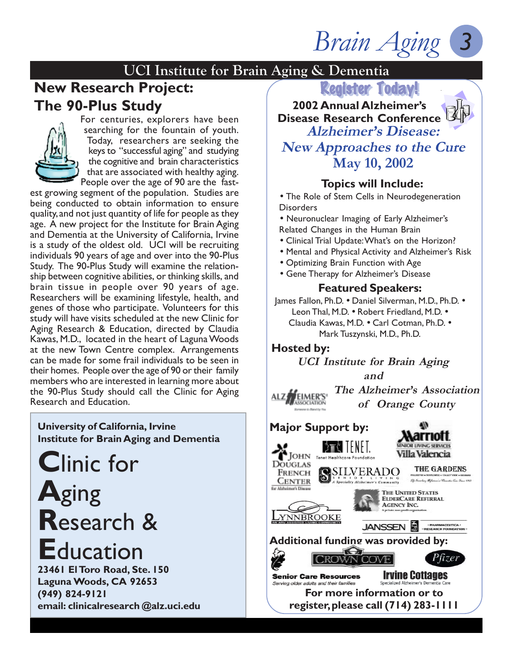*Brain Aging*

# *3*

### **UCI Institute for Brain Aging & Dementia**

## **New Research Project: The 90-Plus Study**



For centuries, explorers have been searching for the fountain of youth. Today, researchers are seeking the keys to "successful aging" and studying the cognitive and brain characteristics that are associated with healthy aging. People over the age of 90 are the fast-

est growing segment of the population. Studies are being conducted to obtain information to ensure quality, and not just quantity of life for people as they age. A new project for the Institute for Brain Aging and Dementia at the University of California, Irvine is a study of the oldest old. UCI will be recruiting individuals 90 years of age and over into the 90-Plus Study. The 90-Plus Study will examine the relationship between cognitive abilities, or thinking skills, and brain tissue in people over 90 years of age. Researchers will be examining lifestyle, health, and genes of those who participate. Volunteers for this study will have visits scheduled at the new Clinic for Aging Research & Education, directed by Claudia Kawas, M.D., located in the heart of Laguna Woods at the new Town Centre complex. Arrangements can be made for some frail individuals to be seen in their homes. People over the age of 90 or their family members who are interested in learning more about the 90-Plus Study should call the Clinic for Aging Research and Education.

**University of California, Irvine Institute for Brain Aging and Dementia**

**C**linic for **A**ging **R**esearch & **E**ducation

**23461 El Toro Road, Ste. 150 Laguna Woods, CA 92653 (949) 824-9121 email: clinicalresearch @alz.uci.edu**



**Disease Research Conference Alzheimer's Disease: New Approaches to the Cure**

**May 10, 2002**

### **Topics will Include:**

• The Role of Stem Cells in Neurodegeneration **Disorders** 

• Neuronuclear Imaging of Early Alzheimer's Related Changes in the Human Brain

• Clinical Trial Update: What's on the Horizon?

- Mental and Physical Activity and Alzheimer's Risk
- Optimizing Brain Function with Age
- Gene Therapy for Alzheimer's Disease

### **Featured Speakers:**

James Fallon, Ph.D. • Daniel Silverman, M.D., Ph.D. • Leon Thal, M.D. • Robert Friedland, M.D. • Claudia Kawas, M.D. • Carl Cotman, Ph.D. • Mark Tuszynski, M.D., Ph.D.

### **Hosted by:**

**UCI Institute for Brain Aging and**

**The Alzheimer's Association** EIMER'S® **of Orange County**

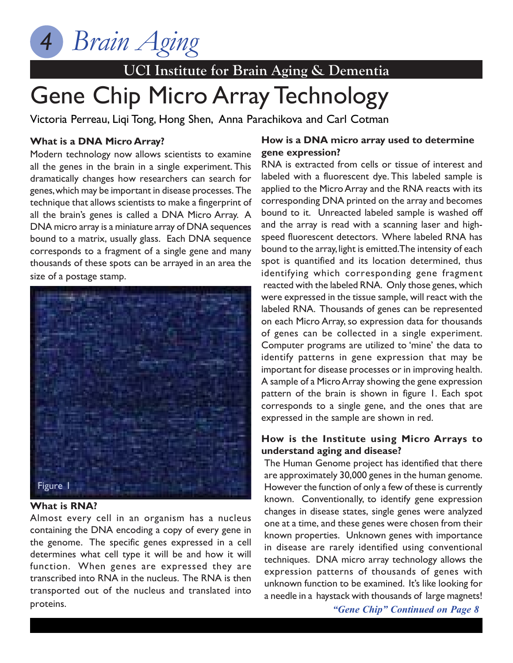

# Gene Chip Micro Array Technology

Victoria Perreau, Liqi Tong, Hong Shen, Anna Parachikova and Carl Cotman

### **What is a DNA Micro Array?**

Modern technology now allows scientists to examine all the genes in the brain in a single experiment. This dramatically changes how researchers can search for genes, which may be important in disease processes. The technique that allows scientists to make a fingerprint of all the brain's genes is called a DNA Micro Array. A DNA micro array is a miniature array of DNA sequences bound to a matrix, usually glass. Each DNA sequence corresponds to a fragment of a single gene and many thousands of these spots can be arrayed in an area the size of a postage stamp.



### **What is RNA?**

Almost every cell in an organism has a nucleus containing the DNA encoding a copy of every gene in the genome. The specific genes expressed in a cell determines what cell type it will be and how it will function. When genes are expressed they are transcribed into RNA in the nucleus. The RNA is then transported out of the nucleus and translated into proteins.

### **How is a DNA micro array used to determine gene expression?**

RNA is extracted from cells or tissue of interest and labeled with a fluorescent dye. This labeled sample is applied to the Micro Array and the RNA reacts with its corresponding DNA printed on the array and becomes bound to it. Unreacted labeled sample is washed off and the array is read with a scanning laser and highspeed fluorescent detectors. Where labeled RNA has bound to the array, light is emitted. The intensity of each spot is quantified and its location determined, thus identifying which corresponding gene fragment reacted with the labeled RNA. Only those genes, which were expressed in the tissue sample, will react with the labeled RNA. Thousands of genes can be represented on each Micro Array, so expression data for thousands of genes can be collected in a single experiment. Computer programs are utilized to 'mine' the data to identify patterns in gene expression that may be important for disease processes or in improving health. A sample of a Micro Array showing the gene expression pattern of the brain is shown in figure 1. Each spot corresponds to a single gene, and the ones that are expressed in the sample are shown in red.

### **How is the Institute using Micro Arrays to understand aging and disease?**

The Human Genome project has identified that there are approximately 30,000 genes in the human genome. However the function of only a few of these is currently known. Conventionally, to identify gene expression changes in disease states, single genes were analyzed one at a time, and these genes were chosen from their known properties. Unknown genes with importance in disease are rarely identified using conventional techniques. DNA micro array technology allows the expression patterns of thousands of genes with unknown function to be examined. It's like looking for a needle in a haystack with thousands of large magnets!

*"Gene Chip" Continued on Page 8*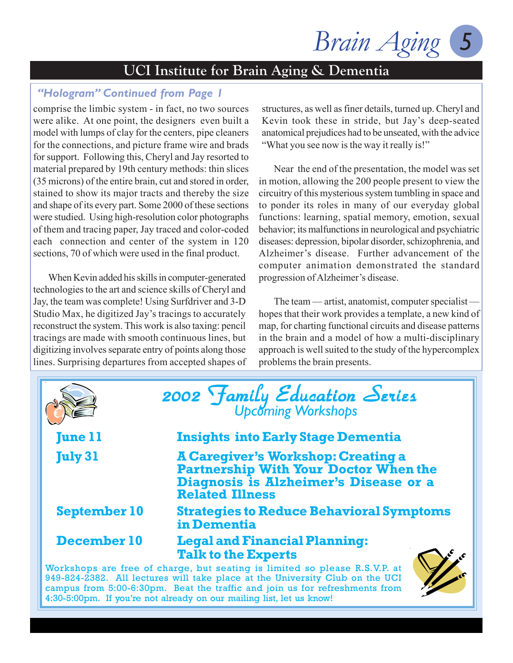*Brain Aging 5*

### *"Hologram" Continued from Page 1*

comprise the limbic system - in fact, no two sources were alike. At one point, the designers even built a model with lumps of clay for the centers, pipe cleaners for the connections, and picture frame wire and brads for support. Following this, Cheryl and Jay resorted to material prepared by 19th century methods: thin slices (35 microns) of the entire brain, cut and stored in order, stained to show its major tracts and thereby the size and shape of its every part. Some 2000 of these sections were studied. Using high-resolution color photographs of them and tracing paper, Jay traced and color-coded each connection and center of the system in 120 sections, 70 of which were used in the final product.

When Kevin added his skills in computer-generated technologies to the art and science skills of Cheryl and Jay, the team was complete! Using Surfdriver and 3-D Studio Max, he digitized Jay's tracings to accurately reconstruct the system. This work is also taxing: pencil tracings are made with smooth continuous lines, but digitizing involves separate entry of points along those lines. Surprising departures from accepted shapes of structures, as well as finer details, turned up. Cheryl and Kevin took these in stride, but Jay's deep-seated anatomical prejudices had to be unseated, with the advice "What you see now is the way it really is!"

Near the end of the presentation, the model was set in motion, allowing the 200 people present to view the circuitry of this mysterious system tumbling in space and to ponder its roles in many of our everyday global functions: learning, spatial memory, emotion, sexual behavior; its malfunctions in neurological and psychiatric diseases: depression, bipolar disorder, schizophrenia, and Alzheimer's disease. Further advancement of the computer animation demonstrated the standard progression of Alzheimer's disease.

The team — artist, anatomist, computer specialist hopes that their work provides a template, a new kind of map, for charting functional circuits and disease patterns in the brain and a model of how a multi-disciplinary approach is well suited to the study of the hypercomplex problems the brain presents.

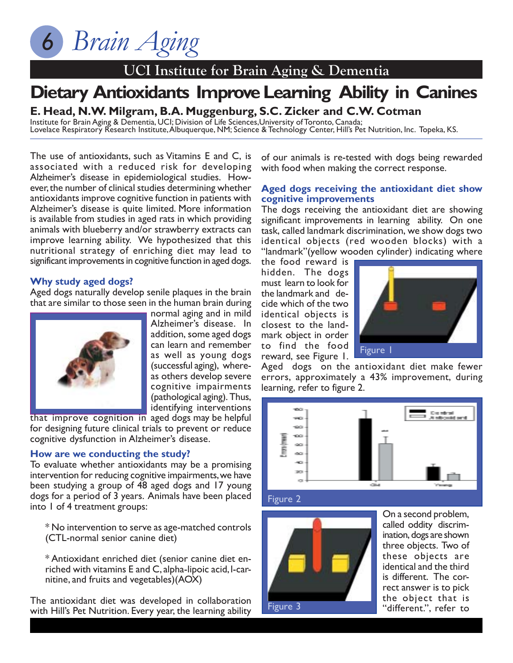## **UCI Institute for Brain Aging & Dementia**

# **Dietary Antioxidants Improve Learning Ability in Canines**

**E. Head, N.W. Milgram, B.A. Muggenburg, S.C. Zicker and C.W. Cotman**

Institute for Brain Aging & Dementia, UCI; Division of Life Sciences,University of Toronto, Canada; Lovelace Respiratory Research Institute, Albuquerque, NM; Science & Technology Center, Hill's Pet Nutrition, Inc. Topeka, KS.

The use of antioxidants, such as Vitamins E and C, is associated with a reduced risk for developing Alzheimer's disease in epidemiological studies. However, the number of clinical studies determining whether antioxidants improve cognitive function in patients with Alzheimer's disease is quite limited. More information is available from studies in aged rats in which providing animals with blueberry and/or strawberry extracts can improve learning ability. We hypothesized that this nutritional strategy of enriching diet may lead to significant improvements in cognitive function in aged dogs.

#### **Why study aged dogs?**

Aged dogs naturally develop senile plaques in the brain that are similar to those seen in the human brain during



normal aging and in mild Alzheimer's disease. In addition, some aged dogs can learn and remember as well as young dogs (successful aging), whereas others develop severe cognitive impairments (pathological aging). Thus, identifying interventions

that improve cognition in aged dogs may be helpful for designing future clinical trials to prevent or reduce cognitive dysfunction in Alzheimer's disease.

### **How are we conducting the study?**

To evaluate whether antioxidants may be a promising intervention for reducing cognitive impairments, we have been studying a group of 48 aged dogs and 17 young dogs for a period of 3 years. Animals have been placed into 1 of 4 treatment groups:

\* No intervention to serve as age-matched controls (CTL-normal senior canine diet)

\* Antioxidant enriched diet (senior canine diet enriched with vitamins E and C, alpha-lipoic acid, l-carnitine, and fruits and vegetables)(AOX)

The antioxidant diet was developed in collaboration with Hill's Pet Nutrition. Every year, the learning ability

of our animals is re-tested with dogs being rewarded with food when making the correct response.

#### **Aged dogs receiving the antioxidant diet show cognitive improvements**

The dogs receiving the antioxidant diet are showing significant improvements in learning ability. On one task, called landmark discrimination, we show dogs two identical objects (red wooden blocks) with a "landmark"(yellow wooden cylinder) indicating where

the food reward is hidden. The dogs must learn to look for the landmark and decide which of the two identical objects is closest to the landmark object in order to find the food reward, see Figure 1.



Aged dogs on the antioxidant diet make fewer errors, approximately a 43% improvement, during learning, refer to figure 2.



Figure 2



On a second problem, called oddity discrimination, dogs are shown three objects. Two of these objects are identical and the third is different. The correct answer is to pick the object that is "different.", refer to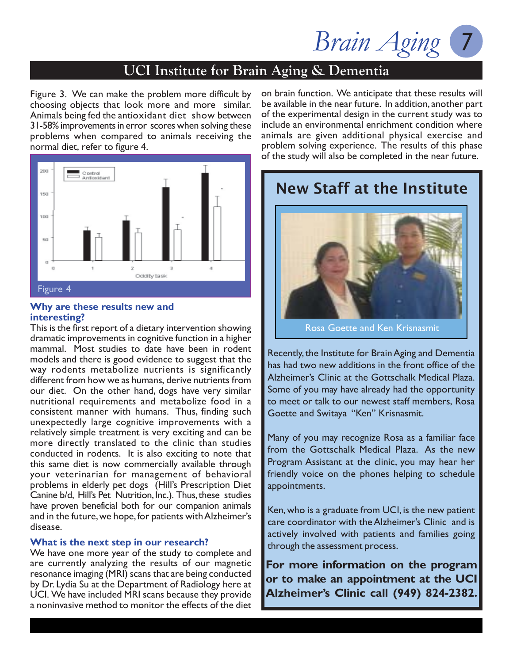### **UCI Institute for Brain Aging & Dementia**

Figure 3. We can make the problem more difficult by choosing objects that look more and more similar. Animals being fed the antioxidant diet show between 31-58% improvements in error scores when solving these problems when compared to animals receiving the normal diet, refer to figure 4.



#### **Why are these results new and interesting?**

This is the first report of a dietary intervention showing dramatic improvements in cognitive function in a higher mammal. Most studies to date have been in rodent models and there is good evidence to suggest that the way rodents metabolize nutrients is significantly different from how we as humans, derive nutrients from our diet. On the other hand, dogs have very similar nutritional requirements and metabolize food in a consistent manner with humans. Thus, finding such unexpectedly large cognitive improvements with a relatively simple treatment is very exciting and can be more directly translated to the clinic than studies conducted in rodents. It is also exciting to note that this same diet is now commercially available through your veterinarian for management of behavioral problems in elderly pet dogs (Hill's Prescription Diet Canine b/d, Hill's Pet Nutrition, Inc.). Thus, these studies have proven beneficial both for our companion animals and in the future, we hope, for patients with Alzheimer's disease.

### **What is the next step in our research?**

We have one more year of the study to complete and are currently analyzing the results of our magnetic resonance imaging (MRI) scans that are being conducted by Dr. Lydia Su at the Department of Radiology here at UCI. We have included MRI scans because they provide a noninvasive method to monitor the effects of the diet on brain function. We anticipate that these results will be available in the near future. In addition, another part of the experimental design in the current study was to include an environmental enrichment condition where animals are given additional physical exercise and problem solving experience. The results of this phase of the study will also be completed in the near future.

## New Staff at the Institute



Rosa Goette and Ken Krisnasmit

Recently, the Institute for Brain Aging and Dementia has had two new additions in the front office of the Alzheimer's Clinic at the Gottschalk Medical Plaza. Some of you may have already had the opportunity to meet or talk to our newest staff members, Rosa Goette and Switaya "Ken" Krisnasmit.

Many of you may recognize Rosa as a familiar face from the Gottschalk Medical Plaza. As the new Program Assistant at the clinic, you may hear her friendly voice on the phones helping to schedule appointments.

Ken, who is a graduate from UCI, is the new patient care coordinator with the Alzheimer's Clinic and is actively involved with patients and families going through the assessment process.

**For more information on the program or to make an appointment at the UCI Alzheimer's Clinic call (949) 824-2382.**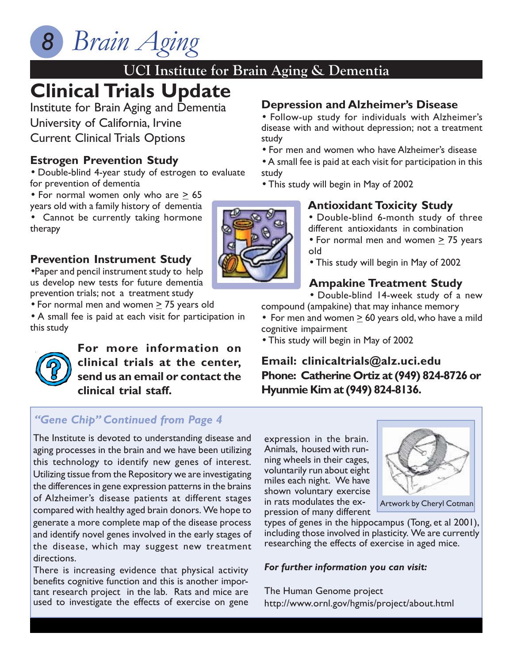## **UCI Institute for Brain Aging & Dementia**

## **Clinical Trials Update**

Institute for Brain Aging and Dementia University of California, Irvine Current Clinical Trials Options

### **Estrogen Prevention Study**

• Double-blind 4-year study of estrogen to evaluate for prevention of dementia

• For normal women only who are  $\geq 65$ 

years old with a family history of dementia • Cannot be currently taking hormone therapy

### **Prevention Instrument Study**

•Paper and pencil instrument study to help us develop new tests for future dementia prevention trials; not a treatment study

• For normal men and women  $\geq$  75 years old

• A small fee is paid at each visit for participation in this study



**For more information on clinical trials at the center, send us an email or contact the clinical trial staff.**

### *"Gene Chip" Continued from Page 4*

The Institute is devoted to understanding disease and aging processes in the brain and we have been utilizing this technology to identify new genes of interest. Utilizing tissue from the Repository we are investigating the differences in gene expression patterns in the brains of Alzheimer's disease patients at different stages compared with healthy aged brain donors. We hope to generate a more complete map of the disease process and identify novel genes involved in the early stages of the disease, which may suggest new treatment directions.

There is increasing evidence that physical activity benefits cognitive function and this is another important research project in the lab. Rats and mice are used to investigate the effects of exercise on gene **Depression and Alzheimer's Disease**

• Follow-up study for individuals with Alzheimer's disease with and without depression; not a treatment study

• For men and women who have Alzheimer's disease

• A small fee is paid at each visit for participation in this study

• This study will begin in May of 2002

### **Antioxidant Toxicity Study**

- Double-blind 6-month study of three different antioxidants in combination
- For normal men and women  $>$  75 years old
- This study will begin in May of 2002

### **Ampakine Treatment Study**

• Double-blind 14-week study of a new compound (ampakine) that may inhance memory

- For men and women  $\geq 60$  years old, who have a mild cognitive impairment
- This study will begin in May of 2002

### **Email: clinicaltrials@alz.uci.edu Phone: Catherine Ortiz at (949) 824-8726 or Hyunmie Kim at (949) 824-8136.**

expression in the brain. Animals, housed with running wheels in their cages, voluntarily run about eight miles each night. We have shown voluntary exercise in rats modulates the expression of many different



Artwork by Cheryl Cotman

types of genes in the hippocampus (Tong, et al 2001), including those involved in plasticity. We are currently researching the effects of exercise in aged mice.

### *For further information you can visit:*

The Human Genome project http://www.ornl.gov/hgmis/project/about.html

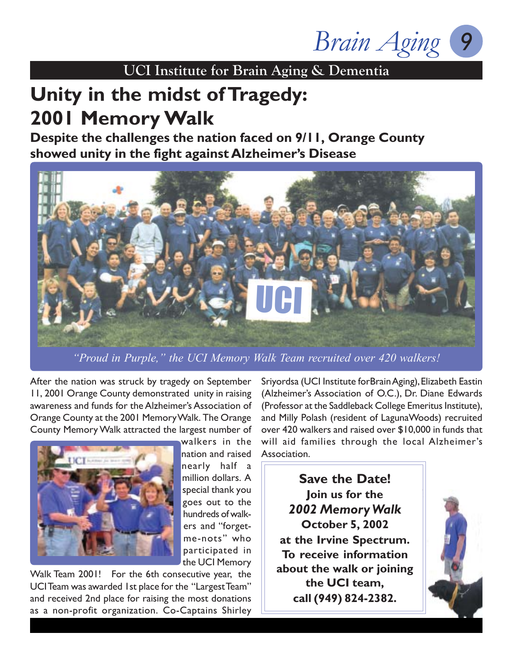*Brain Aging 9*

## **Unity in the midst of Tragedy: 2001 Memory Walk**

**Despite the challenges the nation faced on 9/11, Orange County showed unity in the fight against Alzheimer's Disease**



*"Proud in Purple," the UCI Memory Walk Team recruited over 420 walkers!*

After the nation was struck by tragedy on September 11, 2001 Orange County demonstrated unity in raising awareness and funds for the Alzheimer's Association of Orange County at the 2001 Memory Walk. The Orange County Memory Walk attracted the largest number of



walkers in the nation and raised nearly half a million dollars. A special thank you goes out to the hundreds of walkers and "forgetme-nots" who participated in the UCI Memory

Walk Team 2001! For the 6th consecutive year, the UCI Team was awarded 1st place for the "Largest Team" and received 2nd place for raising the most donations as a non-profit organization. Co-Captains Shirley

Sriyordsa (UCI Institute forBrain Aging), Elizabeth Eastin (Alzheimer's Association of O.C.), Dr. Diane Edwards (Professor at the Saddleback College Emeritus Institute), and Milly Polash (resident of LagunaWoods) recruited over 420 walkers and raised over \$10,000 in funds that will aid families through the local Alzheimer's Association.

**Save the Date! Join us for the** *2002 Memory Walk* **October 5, 2002 at the Irvine Spectrum. To receive information about the walk or joining the UCI team, call (949) 824-2382.**

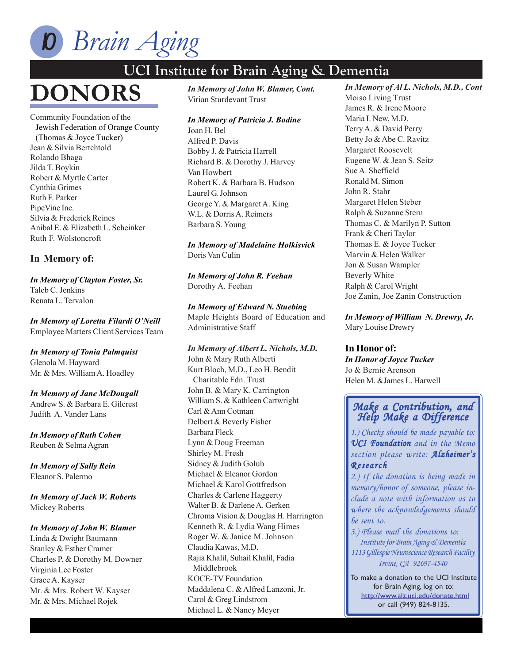

# **DONORS**

Community Foundation of the Jewish Federation of Orange County (Thomas & Joyce Tucker) Jean & Silvia Bertchtold Rolando Bhaga Jilda T. Boykin Robert & Myrtle Carter Cynthia Grimes Ruth F. Parker PipeVine Inc. Silvia & Frederick Reines Anibal E. & Elizabeth L. Scheinker Ruth F. Wolstoncroft

#### **In Memory of:**

*In Memory of Clayton Foster, Sr.* Taleb C. Jenkins Renata L. Tervalon

*In Memory of Loretta Filardi O'Neill* Employee Matters Client Services Team

*In Memory of Tonia Palmquist* Glenola M. Hayward Mr. & Mrs. William A. Hoadley

*In Memory of Jane McDougall* Andrew S. & Barbara E. Gilcrest Judith A. Vander Lans

*In Memory of Ruth Cohen* Reuben & Selma Agran

*In Memory of Sally Rein* Eleanor S. Palermo

*In Memory of Jack W. Roberts* Mickey Roberts

#### *In Memory of John W. Blamer*

Linda & Dwight Baumann Stanley & Esther Cramer Charles P. & Dorothy M. Downer Virginia Lee Foster Grace A. Kayser Mr. & Mrs. Robert W. Kayser Mr. & Mrs. Michael Rojek

*In Memory of John W. Blamer, Cont. In Memory of John W. Blamer, Cont.* Virian Sturdevant Trust

#### *In Memory of Patricia J. Bodine*

Joan H. Bel Alfred P. Davis Bobby J. & Patricia Harrell Richard B. & Dorothy J. Harvey Van Howbert Robert K. & Barbara B. Hudson Laurel G. Johnson George Y. & Margaret A. King W.L. & Dorris A. Reimers Barbara S. Young

*In Memory of Madelaine Holkisvick* Doris Van Culin

*In Memory of John R. Feehan* Dorothy A. Feehan

*In Memory of Edward N. Stuebing* Maple Heights Board of Education and Administrative Staff

*In Memory of Albert L. Nichols, M.D.* John & Mary Ruth Alberti Kurt Bloch, M.D., Leo H. Bendit Charitable Fdn. Trust John B. & Mary K. Carrington William S. & Kathleen Cartwright Carl & Ann Cotman Delbert & Beverly Fisher Barbara Fleck Lynn & Doug Freeman Shirley M. Fresh Sidney & Judith Golub Michael & Eleanor Gordon Michael & Karol Gottfredson Charles & Carlene Haggerty Walter B. & Darlene A. Gerken Chroma Vision & Douglas H. Harrington Kenneth R. & Lydia Wang Himes Roger W. & Janice M. Johnson Claudia Kawas, M.D. Rajia Khalil, Suhail Khalil, Fadia Middlebrook KOCE-TV Foundation Maddalena C. & Alfred Lanzoni, Jr. Carol & Greg Lindstrom Michael L. & Nancy Meyer

*In Memory of Al L. Nichols, M.D., Cont* Moiso Living Trust James R. & Irene Moore Maria I. New, M.D. Terry A. & David Perry Betty Jo & Abe C. Ravitz Margaret Roosevelt Eugene W. & Jean S. Seitz Sue A. Sheffield Ronald M. Simon John R. Stahr Margaret Helen Steber Ralph & Suzanne Stern Thomas C. & Marilyn P. Sutton Frank & Cheri Taylor Thomas E. & Joyce Tucker Marvin & Helen Walker Jon & Susan Wampler Beverly White Ralph & Carol Wright Joe Zanin, Joe Zanin Construction

### *In Memory of William N. Drewry, Jr.*

Mary Louise Drewry

#### **In Honor of:**

*In Honor of Joyce Tucker* Jo & Bernie Arenson Helen M. &James L. Harwell

### *Make a Contribution, and Make a and Help Make a Difference a Difference*

*1.) Checks should be made payable to: UCI Foundation and in the Memo section please write: Alzheimer's Research*

*2.) If the donation is being made in memory/honor of someone, please include a note with information as to where the acknowledgements should be sent to.*

*3.) Please mail the donations to: Institute for Brain Aging & Dementia 1113 Gillespie Neuroscience Research Facility Irvine, CA 92697-4540*

To make a donation to the UCI Institute for Brain Aging, log on to: http://www.alz.uci.edu/donate.html or call (949) 824-8135.